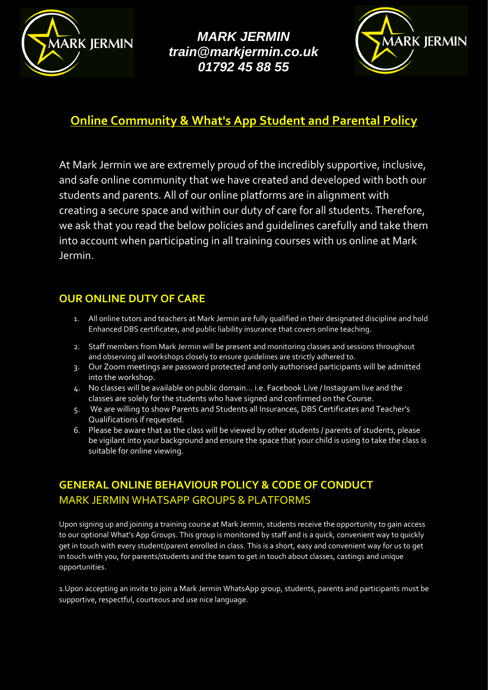

*MARK JERMIN [train@markjermin.co.uk](mailto:train@markjermin.co.uk) 01792 45 88 55*



# **Online Community & What's App Student and Parental Policy**

At Mark Jermin we are extremely proud of the incredibly supportive, inclusive, and safe online community that we have created and developed with both our students and parents. All of our online platforms are in alignment with creating a secure space and within our duty of care for all students. Therefore, we ask that you read the below policies and guidelines carefully and take them into account when participating in all training courses with us online at Mark Jermin.

#### **OUR ONLINE DUTY OF CARE**

- 1. All online tutors and teachers at Mark Jermin are fully qualified in their designated discipline and hold Enhanced DBS certificates, and public liability insurance that covers online teaching.
- 2. Staff members from Mark Jermin will be present and monitoring classes and sessions throughout and observing all workshops closely to ensure guidelines are strictly adhered to.
- 3. Our Zoom meetings are password protected and only authorised participants will be admitted into the workshop.
- 4. No classes will be available on public domain… i.e. Facebook Live / Instagram live and the classes are solely for the students who have signed and confirmed on the Course.
- 5. We are willing to show Parents and Students all Insurances, DBS Certificates and Teacher's Qualifications if requested.
- 6. Please be aware that as the class will be viewed by other students / parents of students, please be vigilant into your background and ensure the space that your child is using to take the class is suitable for online viewing.

### **GENERAL ONLINE BEHAVIOUR POLICY & CODE OF CONDUCT** MARK JERMIN WHATSAPP GROUPS & PLATFORMS

Upon signing up and joining a training course at Mark Jermin, students receive the opportunity to gain access to our optional What's App Groups. This group is monitored by staff and is a quick, convenient way to quickly get in touch with every student/parent enrolled in class. This is a short, easy and convenient way for us to get in touch with you, for parents/students and the team to get in touch about classes, castings and unique opportunities.

1.Upon accepting an invite to join a Mark Jermin WhatsApp group, students, parents and participants must be supportive, respectful, courteous and use nice language.